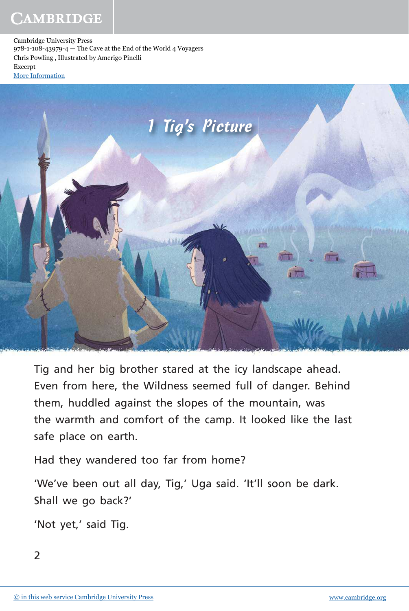Cambridge University Press 978-1-108-43979-4 — The Cave at the End of the World 4 Voyagers Chris Powling , Illustrated by Amerigo Pinelli Excerpt [More Information](www.cambridge.org/9781108439794)



Tig and her big brother stared at the icy landscape ahead. Even from here, the Wildness seemed full of danger. Behind them, huddled against the slopes of the mountain, was the warmth and comfort of the camp. It looked like the last safe place on earth.

Had they wandered too far from home?

'We've been out all day, Tig,' Uga said. 'It'll soon be dark. Shall we go back?'

'Not yet,' said Tig.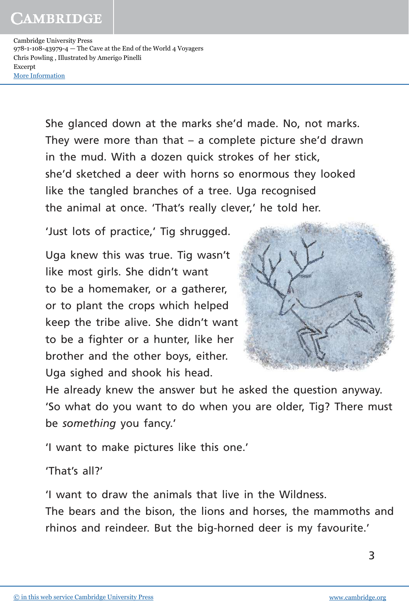Cambridge University Press 978-1-108-43979-4 — The Cave at the End of the World 4 Voyagers Chris Powling , Illustrated by Amerigo Pinelli Excerpt [More Information](www.cambridge.org/9781108439794)

> She glanced down at the marks she'd made. No, not marks. They were more than that  $-$  a complete picture she'd drawn in the mud. With a dozen quick strokes of her stick, she'd sketched a deer with horns so enormous they looked like the tangled branches of a tree. Uga recognised the animal at once. 'That's really clever,' he told her.

'Just lots of practice,' Tig shrugged.

Uga knew this was true. Tig wasn't like most girls. She didn't want to be a homemaker, or a gatherer, or to plant the crops which helped keep the tribe alive. She didn't want to be a fighter or a hunter, like her brother and the other boys, either. Uga sighed and shook his head.



He already knew the answer but he asked the question anyway. 'So what do you want to do when you are older, Tig? There must be *something* you fancy.'

'I want to make pictures like this one.'

'That's all?'

'I want to draw the animals that live in the Wildness. The bears and the bison, the lions and horses, the mammoths and rhinos and reindeer. But the big-horned deer is my favourite.'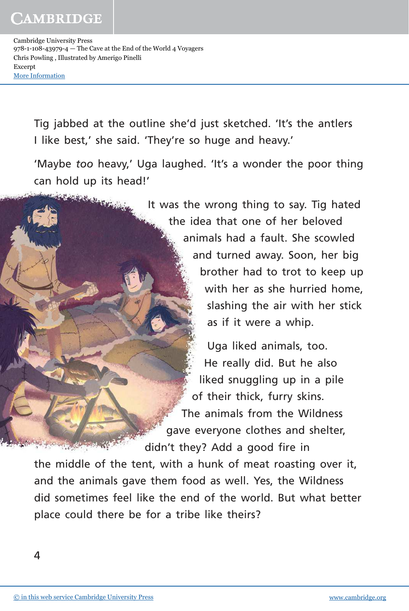Cambridge University Press 978-1-108-43979-4 — The Cave at the End of the World 4 Voyagers Chris Powling , Illustrated by Amerigo Pinelli Excerpt [More Information](www.cambridge.org/9781108439794)

**CONTRACTOR** 

Tig jabbed at the outline she'd just sketched. 'It's the antlers I like best,' she said. 'They're so huge and heavy.'

'Maybe *too* heavy,' Uga laughed. 'It's a wonder the poor thing can hold up its head!'

> It was the wrong thing to say. Tig hated the idea that one of her beloved animals had a fault. She scowled and turned away. Soon, her big brother had to trot to keep up with her as she hurried home, slashing the air with her stick as if it were a whip.

Uga liked animals, too. He really did. But he also liked snuggling up in a pile of their thick, furry skins. The animals from the Wildness gave everyone clothes and shelter, didn't they? Add a good fire in

the middle of the tent, with a hunk of meat roasting over it, and the animals gave them food as well. Yes, the Wildness did sometimes feel like the end of the world. But what better place could there be for a tribe like theirs?

and you are the same